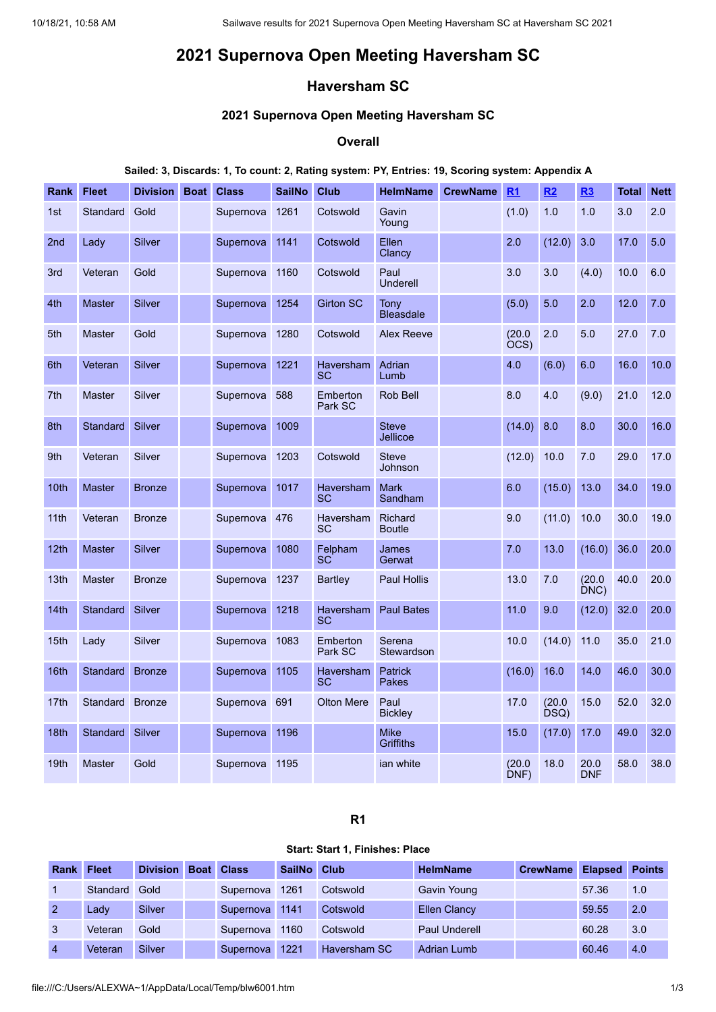# **2021 Supernova Open Meeting Haversham SC**

# **Haversham SC**

# **2021 Supernova Open Meeting Haversham SC**

#### **Overall**

#### **Sailed: 3, Discards: 1, To count: 2, Rating system: PY, Entries: 19, Scoring system: Appendix A**

| Rank             | <b>Fleet</b>  | <b>Division</b> | <b>Boat</b> | <b>Class</b>  | <b>SailNo</b> | <b>Club</b>            | <b>HelmName</b>                 | <b>CrewName</b> | R1             | R2             | R3             | <b>Total</b> | <b>Nett</b> |
|------------------|---------------|-----------------|-------------|---------------|---------------|------------------------|---------------------------------|-----------------|----------------|----------------|----------------|--------------|-------------|
| 1st              | Standard      | Gold            |             | Supernova     | 1261          | Cotswold               | Gavin<br>Young                  |                 | (1.0)          | 1.0            | 1.0            | 3.0          | 2.0         |
| 2 <sub>nd</sub>  | Lady          | Silver          |             | Supernova     | 1141          | Cotswold               | Ellen<br>Clancy                 |                 | 2.0            | (12.0)         | 3.0            | 17.0         | 5.0         |
| 3rd              | Veteran       | Gold            |             | Supernova     | 1160          | Cotswold               | Paul<br>Underell                |                 | 3.0            | 3.0            | (4.0)          | 10.0         | 6.0         |
| 4th              | <b>Master</b> | <b>Silver</b>   |             | Supernova     | 1254          | <b>Girton SC</b>       | Tony<br><b>Bleasdale</b>        |                 | (5.0)          | 5.0            | 2.0            | 12.0         | 7.0         |
| 5th              | <b>Master</b> | Gold            |             | Supernova     | 1280          | Cotswold               | <b>Alex Reeve</b>               |                 | (20.0)<br>ÒCS) | 2.0            | 5.0            | 27.0         | 7.0         |
| 6th              | Veteran       | <b>Silver</b>   |             | Supernova     | 1221          | <b>Haversham</b><br>SC | Adrian<br>Lumb                  |                 | 4.0            | (6.0)          | 6.0            | 16.0         | 10.0        |
| 7th              | <b>Master</b> | <b>Silver</b>   |             | Supernova     | 588           | Emberton<br>Park SC    | Rob Bell                        |                 | 8.0            | 4.0            | (9.0)          | 21.0         | 12.0        |
| 8th              | Standard      | Silver          |             | Supernova     | 1009          |                        | <b>Steve</b><br>Jellicoe        |                 | (14.0)         | 8.0            | 8.0            | 30.0         | 16.0        |
| 9th              | Veteran       | Silver          |             | Supernova     | 1203          | Cotswold               | <b>Steve</b><br>Johnson         |                 | (12.0)         | 10.0           | 7.0            | 29.0         | 17.0        |
| 10 <sub>th</sub> | <b>Master</b> | <b>Bronze</b>   |             | Supernova     | 1017          | Haversham<br><b>SC</b> | <b>Mark</b><br>Sandham          |                 | 6.0            | (15.0)         | 13.0           | 34.0         | 19.0        |
| 11th             | Veteran       | <b>Bronze</b>   |             | Supernova 476 |               | <b>Haversham</b><br>SC | <b>Richard</b><br><b>Boutle</b> |                 | 9.0            | (11.0)         | 10.0           | 30.0         | 19.0        |
| 12th             | <b>Master</b> | <b>Silver</b>   |             | Supernova     | 1080          | Felpham<br>SC          | James<br>Gerwat                 |                 | 7.0            | 13.0           | (16.0)         | 36.0         | 20.0        |
| 13th             | <b>Master</b> | <b>Bronze</b>   |             | Supernova     | 1237          | <b>Bartley</b>         | <b>Paul Hollis</b>              |                 | 13.0           | 7.0            | (20.0)<br>DNC) | 40.0         | 20.0        |
| 14th             | Standard      | <b>Silver</b>   |             | Supernova     | 1218          | <b>Haversham</b><br>SC | <b>Paul Bates</b>               |                 | 11.0           | 9.0            | (12.0)         | 32.0         | 20.0        |
| 15th             | Lady          | <b>Silver</b>   |             | Supernova     | 1083          | Emberton<br>Park SC    | Serena<br>Stewardson            |                 | 10.0           | (14.0)         | 11.0           | 35.0         | 21.0        |
| 16th             | Standard      | <b>Bronze</b>   |             | Supernova     | 1105          | Haversham<br><b>SC</b> | <b>Patrick</b><br><b>Pakes</b>  |                 | (16.0)         | 16.0           | 14.0           | 46.0         | 30.0        |
| 17th             | Standard      | <b>Bronze</b>   |             | Supernova     | 691           | <b>Olton Mere</b>      | Paul<br><b>Bickley</b>          |                 | 17.0           | (20.0)<br>DSQ) | 15.0           | 52.0         | 32.0        |
| 18 <sub>th</sub> | Standard      | Silver          |             | Supernova     | 1196          |                        | <b>Mike</b><br><b>Griffiths</b> |                 | 15.0           | (17.0)         | 17.0           | 49.0         | 32.0        |
| 19th             | <b>Master</b> | Gold            |             | Supernova     | 1195          |                        | ian white                       |                 | (20.0)<br>DNF) | 18.0           | 20.0<br>DNF    | 58.0         | 38.0        |

# **R1**

#### **Start: Start 1, Finishes: Place**

<span id="page-0-0"></span>

| <b>Rank Fleet</b> |          | <b>Division</b> | <b>Boat Class</b>      | SailNo Club |              | <b>HelmName</b>      | <b>CrewName</b> | <b>Elapsed Points</b> |     |
|-------------------|----------|-----------------|------------------------|-------------|--------------|----------------------|-----------------|-----------------------|-----|
|                   | Standard | Gold            | Supernova              | 1261        | Cotswold     | Gavin Young          |                 | 57.36                 | 1.0 |
| $\mathcal{P}$     | Ladv     | Silver          | Supernova 1141         |             | Cotswold     | <b>Ellen Clancy</b>  |                 | 59.55                 | 2.0 |
| -3                | Veteran  | Gold            | Supernova              | 1160        | Cotswold     | <b>Paul Underell</b> |                 | 60.28                 | 3.0 |
| $\overline{4}$    | Veteran  | Silver          | Supernova <sup>1</sup> | 1221        | Haversham SC | Adrian Lumb          |                 | 60.46                 | 4.0 |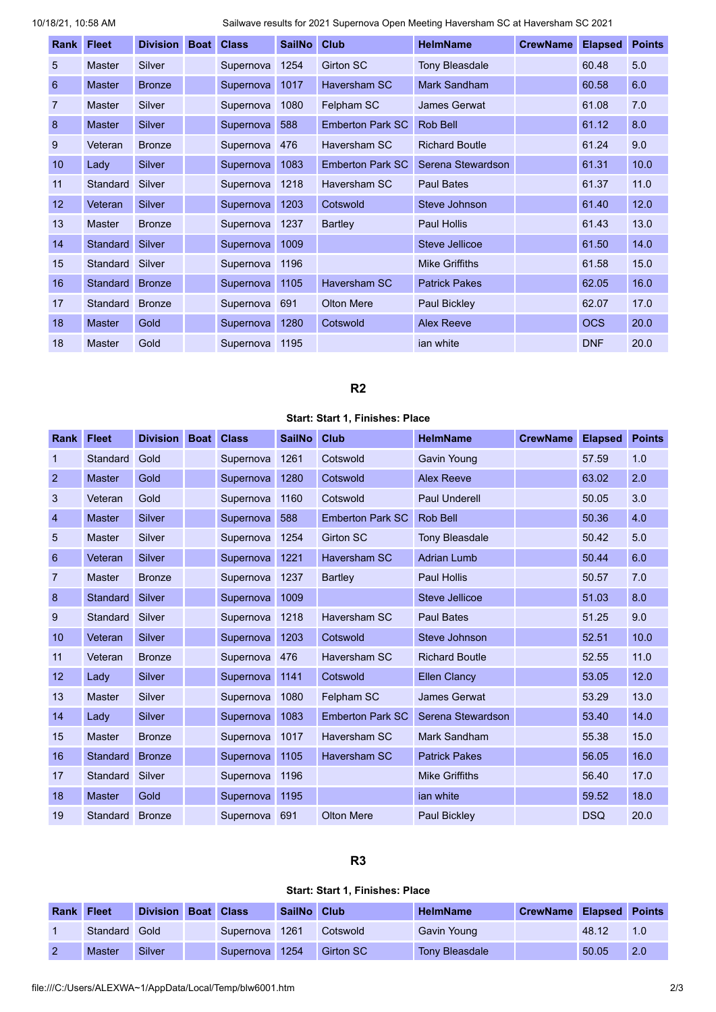10/18/21, 10:58 AM Sailwave results for 2021 Supernova Open Meeting Haversham SC at Haversham SC 2021

| Rank           | <b>Fleet</b>    | <b>Division</b> | <b>Boat</b> | <b>Class</b> | <b>SailNo</b> | <b>Club</b>             | <b>HelmName</b>       | <b>CrewName</b> | <b>Elapsed</b> | <b>Points</b> |
|----------------|-----------------|-----------------|-------------|--------------|---------------|-------------------------|-----------------------|-----------------|----------------|---------------|
| 5              | <b>Master</b>   | Silver          |             | Supernova    | 1254          | <b>Girton SC</b>        | <b>Tony Bleasdale</b> |                 | 60.48          | 5.0           |
| 6              | <b>Master</b>   | <b>Bronze</b>   |             | Supernova    | 1017          | <b>Haversham SC</b>     | Mark Sandham          |                 | 60.58          | 6.0           |
| $\overline{7}$ | <b>Master</b>   | Silver          |             | Supernova    | 1080          | Felpham SC              | James Gerwat          |                 | 61.08          | 7.0           |
| 8              | <b>Master</b>   | Silver          |             | Supernova    | 588           | <b>Emberton Park SC</b> | Rob Bell              |                 | 61.12          | 8.0           |
| 9              | Veteran         | <b>Bronze</b>   |             | Supernova    | 476           | Haversham SC            | <b>Richard Boutle</b> |                 | 61.24          | 9.0           |
| 10             | Lady            | <b>Silver</b>   |             | Supernova    | 1083          | <b>Emberton Park SC</b> | Serena Stewardson     |                 | 61.31          | 10.0          |
| 11             | Standard        | Silver          |             | Supernova    | 1218          | Haversham SC            | <b>Paul Bates</b>     |                 | 61.37          | 11.0          |
| 12             | Veteran         | <b>Silver</b>   |             | Supernova    | 1203          | Cotswold                | Steve Johnson         |                 | 61.40          | 12.0          |
| 13             | <b>Master</b>   | <b>Bronze</b>   |             | Supernova    | 1237          | Bartley                 | <b>Paul Hollis</b>    |                 | 61.43          | 13.0          |
| 14             | Standard Silver |                 |             | Supernova    | 1009          |                         | Steve Jellicoe        |                 | 61.50          | 14.0          |
| 15             | Standard        | Silver          |             | Supernova    | 1196          |                         | <b>Mike Griffiths</b> |                 | 61.58          | 15.0          |
| 16             | Standard        | <b>Bronze</b>   |             | Supernova    | 1105          | <b>Haversham SC</b>     | <b>Patrick Pakes</b>  |                 | 62.05          | 16.0          |
| 17             | Standard Bronze |                 |             | Supernova    | 691           | <b>Olton Mere</b>       | Paul Bickley          |                 | 62.07          | 17.0          |
| 18             | <b>Master</b>   | Gold            |             | Supernova    | 1280          | Cotswold                | <b>Alex Reeve</b>     |                 | <b>OCS</b>     | 20.0          |
| 18             | <b>Master</b>   | Gold            |             | Supernova    | 1195          |                         | jan white             |                 | <b>DNF</b>     | 20.0          |

# **R2**

## **Start: Start 1, Finishes: Place**

<span id="page-1-0"></span>

| Rank           | <b>Fleet</b>    | <b>Division</b> | <b>Boat</b> | <b>Class</b> | <b>SailNo</b> | <b>Club</b>             | <b>HelmName</b>       | <b>CrewName</b> | <b>Elapsed</b> | <b>Points</b> |
|----------------|-----------------|-----------------|-------------|--------------|---------------|-------------------------|-----------------------|-----------------|----------------|---------------|
| 1              | Standard        | Gold            |             | Supernova    | 1261          | Cotswold                | <b>Gavin Young</b>    |                 | 57.59          | 1.0           |
| 2              | <b>Master</b>   | Gold            |             | Supernova    | 1280          | Cotswold                | <b>Alex Reeve</b>     |                 | 63.02          | 2.0           |
| 3              | Veteran         | Gold            |             | Supernova    | 1160          | Cotswold                | Paul Underell         |                 | 50.05          | 3.0           |
| $\overline{4}$ | <b>Master</b>   | <b>Silver</b>   |             | Supernova    | 588           | <b>Emberton Park SC</b> | Rob Bell              |                 | 50.36          | 4.0           |
| 5              | <b>Master</b>   | Silver          |             | Supernova    | 1254          | <b>Girton SC</b>        | <b>Tony Bleasdale</b> |                 | 50.42          | 5.0           |
| 6              | Veteran         | <b>Silver</b>   |             | Supernova    | 1221          | <b>Haversham SC</b>     | <b>Adrian Lumb</b>    |                 | 50.44          | 6.0           |
| 7              | <b>Master</b>   | <b>Bronze</b>   |             | Supernova    | 1237          | Bartley                 | <b>Paul Hollis</b>    |                 | 50.57          | 7.0           |
| 8              | <b>Standard</b> | <b>Silver</b>   |             | Supernova    | 1009          |                         | Steve Jellicoe        |                 | 51.03          | 8.0           |
| 9              | Standard        | Silver          |             | Supernova    | 1218          | Haversham SC            | <b>Paul Bates</b>     |                 | 51.25          | 9.0           |
| 10             | Veteran         | <b>Silver</b>   |             | Supernova    | 1203          | Cotswold                | Steve Johnson         |                 | 52.51          | 10.0          |
| 11             | Veteran         | <b>Bronze</b>   |             | Supernova    | 476           | Haversham SC            | <b>Richard Boutle</b> |                 | 52.55          | 11.0          |
| 12             | Lady            | <b>Silver</b>   |             | Supernova    | 1141          | Cotswold                | <b>Ellen Clancy</b>   |                 | 53.05          | 12.0          |
| 13             | <b>Master</b>   | <b>Silver</b>   |             | Supernova    | 1080          | Felpham SC              | <b>James Gerwat</b>   |                 | 53.29          | 13.0          |
| 14             | Lady            | <b>Silver</b>   |             | Supernova    | 1083          | <b>Emberton Park SC</b> | Serena Stewardson     |                 | 53.40          | 14.0          |
| 15             | <b>Master</b>   | <b>Bronze</b>   |             | Supernova    | 1017          | Haversham SC            | <b>Mark Sandham</b>   |                 | 55.38          | 15.0          |
| 16             | <b>Standard</b> | <b>Bronze</b>   |             | Supernova    | 1105          | <b>Haversham SC</b>     | <b>Patrick Pakes</b>  |                 | 56.05          | 16.0          |
| 17             | Standard        | Silver          |             | Supernova    | 1196          |                         | <b>Mike Griffiths</b> |                 | 56.40          | 17.0          |
| 18             | <b>Master</b>   | Gold            |             | Supernova    | 1195          |                         | ian white             |                 | 59.52          | 18.0          |
| 19             | Standard        | <b>Bronze</b>   |             | Supernova    | 691           | <b>Olton Mere</b>       | <b>Paul Bickley</b>   |                 | <b>DSQ</b>     | 20.0          |

# **R3**

#### **Start: Start 1, Finishes: Place**

<span id="page-1-1"></span>

| <b>Rank Fleet</b> |               | Division Boat Class |                | SailNo Club |                  | <b>HelmName</b>       | <b>CrewName Elapsed Points</b> |       |               |
|-------------------|---------------|---------------------|----------------|-------------|------------------|-----------------------|--------------------------------|-------|---------------|
|                   | Standard Gold |                     | Supernova 1261 |             | Cotswold         | Gavin Young           |                                | 48.12 | $1.0^{\circ}$ |
|                   | Master        | <b>Silver</b>       | Supernova 1254 |             | <b>Girton SC</b> | <b>Tony Bleasdale</b> |                                | 50.05 | 2.0           |